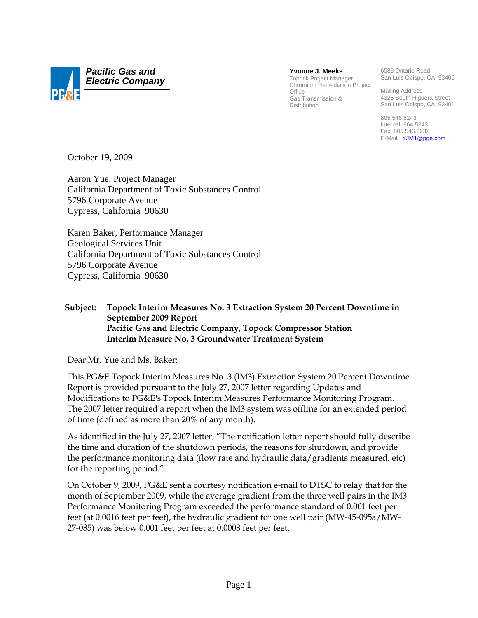

**Yvonne J. Meeks**

Topock Project Manager Chromium Remediation Project Office Gas Transmission & Distribution

6588 Ontario Road San Luis Obispo, CA 93405

Mailing Address 4325 South Higuera Street San Luis Obispo, CA 93401

805.546.5243 Internal: 664.5243 Fax: 805.546.5232 E-Mail: YJM1@pge.com

October 19, 2009

Aaron Yue, Project Manager California Department of Toxic Substances Control 5796 Corporate Avenue Cypress, California 90630

Karen Baker, Performance Manager Geological Services Unit California Department of Toxic Substances Control 5796 Corporate Avenue Cypress, California 90630

#### **Subject: Topock Interim Measures No. 3 Extraction System 20 Percent Downtime in September 2009 Report Pacific Gas and Electric Company, Topock Compressor Station Interim Measure No. 3 Groundwater Treatment System**

Dear Mr. Yue and Ms. Baker:

This PG&E Topock Interim Measures No. 3 (IM3) Extraction System 20 Percent Downtime Report is provided pursuant to the July 27, 2007 letter regarding Updates and Modifications to PG&E's Topock Interim Measures Performance Monitoring Program. The 2007 letter required a report when the IM3 system was offline for an extended period of time (defined as more than 20% of any month).

As identified in the July 27, 2007 letter, "The notification letter report should fully describe the time and duration of the shutdown periods, the reasons for shutdown, and provide the performance monitoring data (flow rate and hydraulic data/gradients measured, etc) for the reporting period."

On October 9, 2009, PG&E sent a courtesy notification e-mail to DTSC to relay that for the month of September 2009, while the average gradient from the three well pairs in the IM3 Performance Monitoring Program exceeded the performance standard of 0.001 feet per feet (at 0.0016 feet per feet), the hydraulic gradient for one well pair (MW-45-095a/MW-27-085) was below 0.001 feet per feet at 0.0008 feet per feet.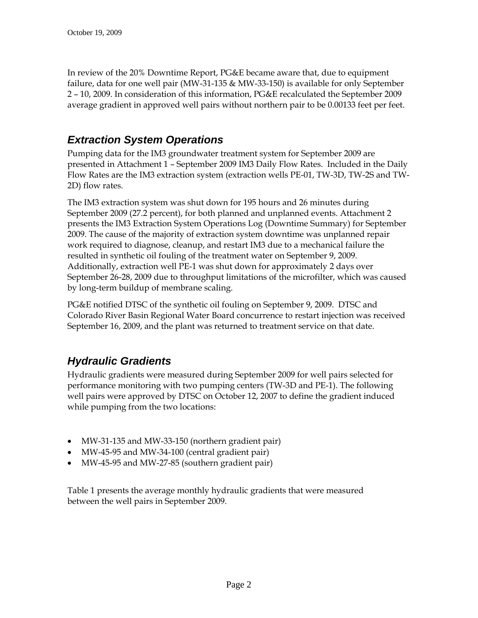In review of the 20% Downtime Report, PG&E became aware that, due to equipment failure, data for one well pair (MW-31-135 & MW-33-150) is available for only September 2 – 10, 2009. In consideration of this information, PG&E recalculated the September 2009 average gradient in approved well pairs without northern pair to be 0.00133 feet per feet.

## *Extraction System Operations*

Pumping data for the IM3 groundwater treatment system for September 2009 are presented in Attachment 1 – September 2009 IM3 Daily Flow Rates. Included in the Daily Flow Rates are the IM3 extraction system (extraction wells PE-01, TW-3D, TW-2S and TW-2D) flow rates.

The IM3 extraction system was shut down for 195 hours and 26 minutes during September 2009 (27.2 percent), for both planned and unplanned events. Attachment 2 presents the IM3 Extraction System Operations Log (Downtime Summary) for September 2009. The cause of the majority of extraction system downtime was unplanned repair work required to diagnose, cleanup, and restart IM3 due to a mechanical failure the resulted in synthetic oil fouling of the treatment water on September 9, 2009. Additionally, extraction well PE-1 was shut down for approximately 2 days over September 26-28, 2009 due to throughput limitations of the microfilter, which was caused by long-term buildup of membrane scaling.

PG&E notified DTSC of the synthetic oil fouling on September 9, 2009. DTSC and Colorado River Basin Regional Water Board concurrence to restart injection was received September 16, 2009, and the plant was returned to treatment service on that date.

## *Hydraulic Gradients*

Hydraulic gradients were measured during September 2009 for well pairs selected for performance monitoring with two pumping centers (TW-3D and PE-1). The following well pairs were approved by DTSC on October 12, 2007 to define the gradient induced while pumping from the two locations:

- MW-31-135 and MW-33-150 (northern gradient pair)
- MW-45-95 and MW-34-100 (central gradient pair)
- MW-45-95 and MW-27-85 (southern gradient pair)

Table 1 presents the average monthly hydraulic gradients that were measured between the well pairs in September 2009.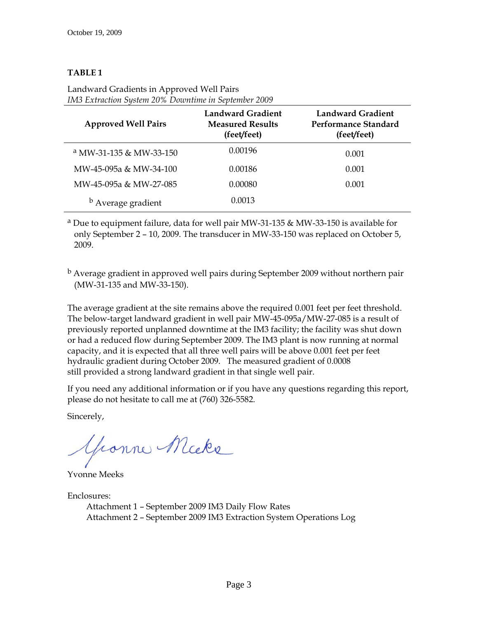#### **TABLE 1**

| <b>Approved Well Pairs</b>         | Landward Gradient<br><b>Measured Results</b><br>(feet/feet) | Landward Gradient<br>Performance Standard<br>(feet/feet) |  |  |  |
|------------------------------------|-------------------------------------------------------------|----------------------------------------------------------|--|--|--|
| <sup>a</sup> MW-31-135 & MW-33-150 | 0.00196                                                     | 0.001                                                    |  |  |  |
| MW-45-095a & MW-34-100             | 0.00186                                                     | 0.001                                                    |  |  |  |
| MW-45-095a & MW-27-085             | 0.00080                                                     | 0.001                                                    |  |  |  |
| <sup>b</sup> Average gradient      | 0.0013                                                      |                                                          |  |  |  |

Landward Gradients in Approved Well Pairs *IM3 Extraction System 20% Downtime in September 2009* 

a Due to equipment failure, data for well pair MW-31-135 & MW-33-150 is available for only September 2 – 10, 2009. The transducer in MW-33-150 was replaced on October 5, 2009.

b Average gradient in approved well pairs during September 2009 without northern pair (MW-31-135 and MW-33-150).

The average gradient at the site remains above the required 0.001 feet per feet threshold. The below-target landward gradient in well pair MW-45-095a/MW-27-085 is a result of previously reported unplanned downtime at the IM3 facility; the facility was shut down or had a reduced flow during September 2009. The IM3 plant is now running at normal capacity, and it is expected that all three well pairs will be above 0.001 feet per feet hydraulic gradient during October 2009. The measured gradient of 0.0008 still provided a strong landward gradient in that single well pair.

If you need any additional information or if you have any questions regarding this report, please do not hesitate to call me at (760) 326-5582.

Sincerely,

Yronne Micke

Enclosures:

 Attachment 1 – September 2009 IM3 Daily Flow Rates Attachment 2 – September 2009 IM3 Extraction System Operations Log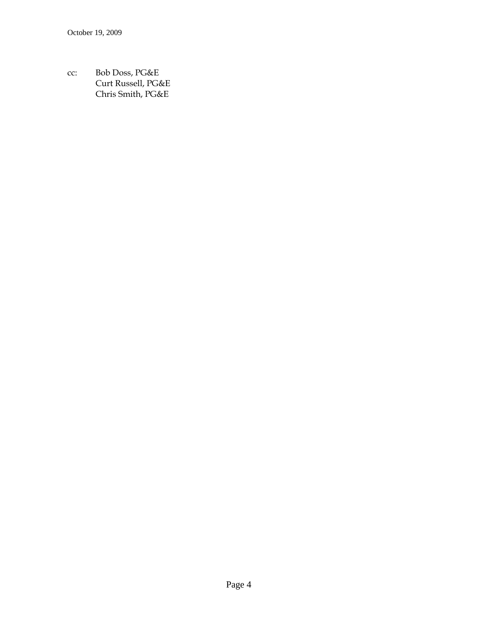cc: Bob Doss, PG&E Curt Russell, PG&E Chris Smith, PG&E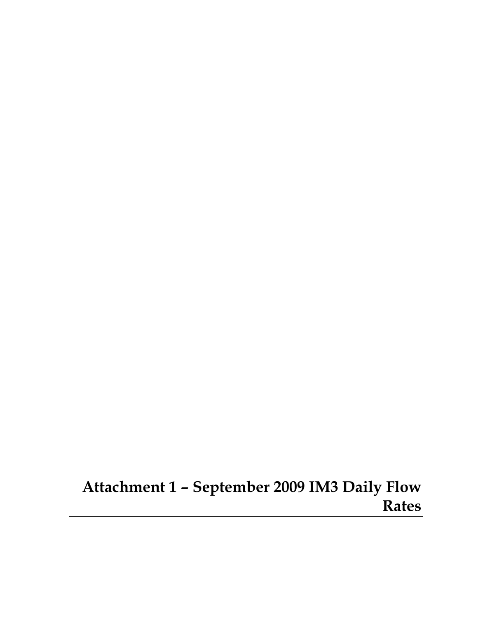# **Attachment 1 – September 2009 IM3 Daily Flow Rates**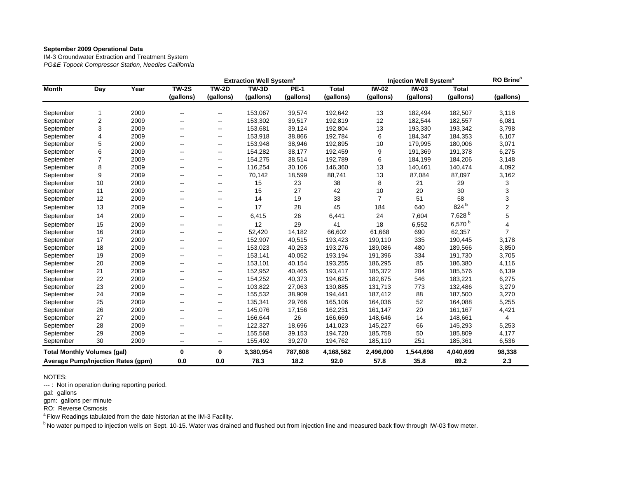#### **September 2009 Operational Data**

IM-3 Groundwater Extraction and Treatment System *PG&E Topock Compressor Station, Needles California*

|                                           |                |      | <b>Extraction Well System<sup>®</sup></b> |                          |                      | Injection Well System <sup>a</sup> |                           |                                 | RO Brine <sup>a</sup> |                           |                         |
|-------------------------------------------|----------------|------|-------------------------------------------|--------------------------|----------------------|------------------------------------|---------------------------|---------------------------------|-----------------------|---------------------------|-------------------------|
| <b>Month</b>                              | Day            | Year | $TW-2S$<br>(gallons)                      | $TW-2D$<br>(gallons)     | $TW-3D$<br>(gallons) | $PE-1$<br>(gallons)                | <b>Total</b><br>(gallons) | $\overline{IW-02}$<br>(gallons) | $IV-03$<br>(gallons)  | <b>Total</b><br>(gallons) | (gallons)               |
|                                           |                |      |                                           |                          |                      |                                    |                           |                                 |                       |                           |                         |
| September                                 | 1              | 2009 | $\overline{\phantom{m}}$                  | --                       | 153,067              | 39,574                             | 192,642                   | 13                              | 182,494               | 182,507                   | 3,118                   |
| September                                 | $\overline{2}$ | 2009 | $-$                                       | $\overline{\phantom{a}}$ | 153,302              | 39,517                             | 192,819                   | 12                              | 182,544               | 182,557                   | 6,081                   |
| September                                 | 3              | 2009 | $\overline{\phantom{a}}$                  | $\overline{\phantom{a}}$ | 153,681              | 39,124                             | 192,804                   | 13                              | 193,330               | 193,342                   | 3,798                   |
| September                                 | 4              | 2009 | $\overline{\phantom{m}}$                  | $\overline{\phantom{m}}$ | 153,918              | 38,866                             | 192,784                   | 6                               | 184,347               | 184,353                   | 6,107                   |
| September                                 | 5              | 2009 | $\overline{\phantom{a}}$                  | $\overline{\phantom{a}}$ | 153,948              | 38,946                             | 192,895                   | 10                              | 179,995               | 180,006                   | 3,071                   |
| September                                 | 6              | 2009 | $\overline{\phantom{a}}$                  | $\overline{\phantom{a}}$ | 154,282              | 38,177                             | 192,459                   | 9                               | 191,369               | 191,378                   | 6,275                   |
| September                                 | 7              | 2009 | $\overline{\phantom{a}}$                  | $\overline{\phantom{a}}$ | 154,275              | 38,514                             | 192,789                   | 6                               | 184,199               | 184,206                   | 3,148                   |
| September                                 | 8              | 2009 | $\overline{\phantom{a}}$                  | $\overline{\phantom{a}}$ | 116,254              | 30,106                             | 146,360                   | 13                              | 140,461               | 140,474                   | 4,092                   |
| September                                 | 9              | 2009 | $\overline{\phantom{a}}$                  | $\overline{\phantom{a}}$ | 70,142               | 18,599                             | 88,741                    | 13                              | 87,084                | 87,097                    | 3,162                   |
| September                                 | 10             | 2009 | $\sim$                                    | $\overline{\phantom{a}}$ | 15                   | 23                                 | 38                        | 8                               | 21                    | 29                        | 3                       |
| September                                 | 11             | 2009 | $\overline{\phantom{a}}$                  | $\overline{\phantom{a}}$ | 15                   | 27                                 | 42                        | 10                              | 20                    | 30                        | 3                       |
| September                                 | 12             | 2009 | $\overline{\phantom{a}}$                  | $\overline{\phantom{a}}$ | 14                   | 19                                 | 33                        | $\overline{7}$                  | 51                    | 58                        | 3                       |
| September                                 | 13             | 2009 | $\overline{\phantom{a}}$                  | $\mathbf{u}$             | 17                   | 28                                 | 45                        | 184                             | 640                   | 824b                      | $\overline{\mathbf{c}}$ |
| September                                 | 14             | 2009 | $-$                                       | $\overline{\phantom{a}}$ | 6,415                | 26                                 | 6,441                     | 24                              | 7,604                 | 7,628 <sup>b</sup>        | 5                       |
| September                                 | 15             | 2009 | $-$                                       | $\overline{\phantom{m}}$ | 12                   | 29                                 | 41                        | 18                              | 6,552                 | 6,570 <sup>b</sup>        | 4                       |
| September                                 | 16             | 2009 | $\sim$                                    | $\overline{\phantom{a}}$ | 52,420               | 14,182                             | 66,602                    | 61,668                          | 690                   | 62,357                    | $\overline{7}$          |
| September                                 | 17             | 2009 | $\overline{\phantom{a}}$                  | $\overline{\phantom{m}}$ | 152,907              | 40,515                             | 193,423                   | 190,110                         | 335                   | 190,445                   | 3,178                   |
| September                                 | 18             | 2009 | $\overline{\phantom{a}}$                  | $\overline{\phantom{a}}$ | 153,023              | 40,253                             | 193,276                   | 189,086                         | 480                   | 189,566                   | 3,850                   |
| September                                 | 19             | 2009 | $-$                                       | $\overline{\phantom{a}}$ | 153,141              | 40,052                             | 193,194                   | 191,396                         | 334                   | 191,730                   | 3,705                   |
| September                                 | 20             | 2009 | $\overline{a}$                            | $\overline{\phantom{a}}$ | 153,101              | 40,154                             | 193,255                   | 186,295                         | 85                    | 186,380                   | 4,116                   |
| September                                 | 21             | 2009 |                                           | $\overline{\phantom{a}}$ | 152,952              | 40,465                             | 193,417                   | 185,372                         | 204                   | 185,576                   | 6,139                   |
| September                                 | 22             | 2009 | $\overline{\phantom{a}}$                  | $\overline{\phantom{a}}$ | 154,252              | 40,373                             | 194,625                   | 182,675                         | 546                   | 183,221                   | 6,275                   |
| September                                 | 23             | 2009 | $-$                                       | $\overline{\phantom{a}}$ | 103,822              | 27,063                             | 130,885                   | 131,713                         | 773                   | 132,486                   | 3,279                   |
| September                                 | 24             | 2009 | $\overline{\phantom{a}}$                  | $\overline{\phantom{a}}$ | 155,532              | 38,909                             | 194,441                   | 187,412                         | 88                    | 187,500                   | 3,270                   |
| September                                 | 25             | 2009 | $-$                                       | $\overline{\phantom{a}}$ | 135,341              | 29,766                             | 165,106                   | 164,036                         | 52                    | 164,088                   | 5,255                   |
| September                                 | 26             | 2009 | $\sim$                                    | $\overline{\phantom{a}}$ | 145,076              | 17,156                             | 162,231                   | 161,147                         | 20                    | 161,167                   | 4,421                   |
| September                                 | 27             | 2009 | $-$                                       | $\overline{\phantom{a}}$ | 166,644              | 26                                 | 166,669                   | 148,646                         | 14                    | 148,661                   | 4                       |
| September                                 | 28             | 2009 | $\overline{a}$                            | $\overline{\phantom{a}}$ | 122,327              | 18,696                             | 141,023                   | 145,227                         | 66                    | 145,293                   | 5,253                   |
| September                                 | 29             | 2009 | $\overline{\phantom{a}}$                  | $\overline{\phantom{a}}$ | 155,568              | 39,153                             | 194,720                   | 185,758                         | 50                    | 185,809                   | 4,177                   |
| September                                 | 30             | 2009 | $\overline{\phantom{m}}$                  | $\overline{\phantom{a}}$ | 155,492              | 39,270                             | 194,762                   | 185,110                         | 251                   | 185,361                   | 6,536                   |
| <b>Total Monthly Volumes (gal)</b>        |                | 0    | 0                                         | 3,380,954                | 787,608              | 4,168,562                          | 2,496,000                 | 1,544,698                       | 4,040,699             | 98,338                    |                         |
| <b>Average Pump/Injection Rates (gpm)</b> |                | 0.0  | 0.0                                       | 78.3                     | 18.2                 | 92.0                               | 57.8                      | 35.8                            | 89.2                  | 2.3                       |                         |

NOTES:

---: Not in operation during reporting period.

gal: gallons

gpm: gallons per minute

RO: Reverse Osmosis

<sup>a</sup> Flow Readings tabulated from the date historian at the IM-3 Facility.

<sup>b</sup> No water pumped to injection wells on Sept. 10-15. Water was drained and flushed out from injection line and measured back flow through IW-03 flow meter.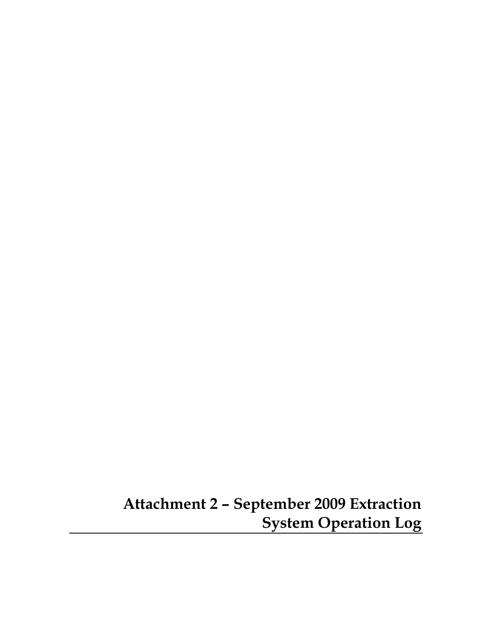**Attachment 2 – September 2009 Extraction System Operation Log**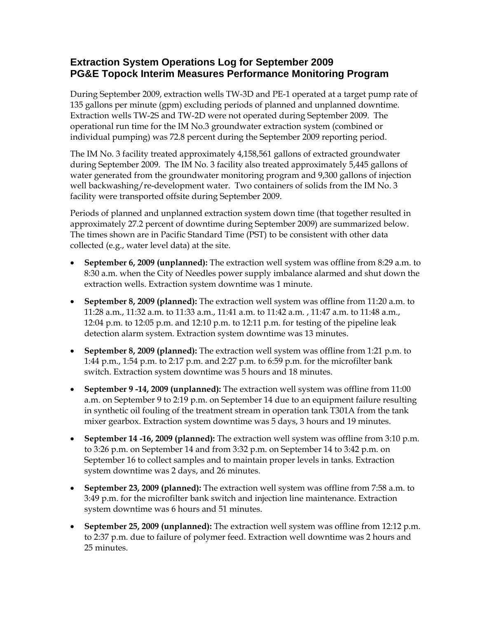### **Extraction System Operations Log for September 2009 PG&E Topock Interim Measures Performance Monitoring Program**

During September 2009, extraction wells TW-3D and PE-1 operated at a target pump rate of 135 gallons per minute (gpm) excluding periods of planned and unplanned downtime. Extraction wells TW-2S and TW-2D were not operated during September 2009. The operational run time for the IM No.3 groundwater extraction system (combined or individual pumping) was 72.8 percent during the September 2009 reporting period.

The IM No. 3 facility treated approximately 4,158,561 gallons of extracted groundwater during September 2009. The IM No. 3 facility also treated approximately 5,445 gallons of water generated from the groundwater monitoring program and 9,300 gallons of injection well backwashing/re-development water. Two containers of solids from the IM No. 3 facility were transported offsite during September 2009.

Periods of planned and unplanned extraction system down time (that together resulted in approximately 27.2 percent of downtime during September 2009) are summarized below. The times shown are in Pacific Standard Time (PST) to be consistent with other data collected (e.g., water level data) at the site.

- **September 6, 2009 (unplanned):** The extraction well system was offline from 8:29 a.m. to 8:30 a.m. when the City of Needles power supply imbalance alarmed and shut down the extraction wells. Extraction system downtime was 1 minute.
- **September 8, 2009 (planned):** The extraction well system was offline from 11:20 a.m. to 11:28 a.m., 11:32 a.m. to 11:33 a.m., 11:41 a.m. to 11:42 a.m. , 11:47 a.m. to 11:48 a.m., 12:04 p.m. to 12:05 p.m. and 12:10 p.m. to 12:11 p.m. for testing of the pipeline leak detection alarm system. Extraction system downtime was 13 minutes.
- **September 8, 2009 (planned):** The extraction well system was offline from 1:21 p.m. to 1:44 p.m., 1:54 p.m. to 2:17 p.m. and 2:27 p.m. to 6:59 p.m. for the microfilter bank switch. Extraction system downtime was 5 hours and 18 minutes.
- **September 9 -14, 2009 (unplanned):** The extraction well system was offline from 11:00 a.m. on September 9 to 2:19 p.m. on September 14 due to an equipment failure resulting in synthetic oil fouling of the treatment stream in operation tank T301A from the tank mixer gearbox. Extraction system downtime was 5 days, 3 hours and 19 minutes.
- **September 14 -16, 2009 (planned):** The extraction well system was offline from 3:10 p.m. to 3:26 p.m. on September 14 and from 3:32 p.m. on September 14 to 3:42 p.m. on September 16 to collect samples and to maintain proper levels in tanks. Extraction system downtime was 2 days, and 26 minutes.
- **September 23, 2009 (planned):** The extraction well system was offline from 7:58 a.m. to 3:49 p.m. for the microfilter bank switch and injection line maintenance. Extraction system downtime was 6 hours and 51 minutes.
- **September 25, 2009 (unplanned):** The extraction well system was offline from 12:12 p.m. to 2:37 p.m. due to failure of polymer feed. Extraction well downtime was 2 hours and 25 minutes.